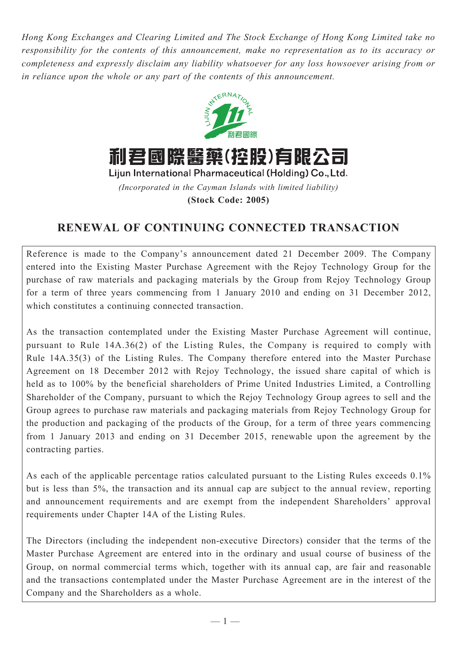*Hong Kong Exchanges and Clearing Limited and The Stock Exchange of Hong Kong Limited take no responsibility for the contents of this announcement, make no representation as to its accuracy or completeness and expressly disclaim any liability whatsoever for any loss howsoever arising from or in reliance upon the whole or any part of the contents of this announcement.*



*(Incorporated in the Cayman Islands with limited liability)* **(Stock Code: 2005)**

# **RENEWAL OF CONTINUING CONNECTED TRANSACTION**

Reference is made to the Company's announcement dated 21 December 2009. The Company entered into the Existing Master Purchase Agreement with the Rejoy Technology Group for the purchase of raw materials and packaging materials by the Group from Rejoy Technology Group for a term of three years commencing from 1 January 2010 and ending on 31 December 2012, which constitutes a continuing connected transaction.

As the transaction contemplated under the Existing Master Purchase Agreement will continue, pursuant to Rule 14A.36(2) of the Listing Rules, the Company is required to comply with Rule 14A.35(3) of the Listing Rules. The Company therefore entered into the Master Purchase Agreement on 18 December 2012 with Rejoy Technology, the issued share capital of which is held as to 100% by the beneficial shareholders of Prime United Industries Limited, a Controlling Shareholder of the Company, pursuant to which the Rejoy Technology Group agrees to sell and the Group agrees to purchase raw materials and packaging materials from Rejoy Technology Group for the production and packaging of the products of the Group, for a term of three years commencing from 1 January 2013 and ending on 31 December 2015, renewable upon the agreement by the contracting parties.

As each of the applicable percentage ratios calculated pursuant to the Listing Rules exceeds 0.1% but is less than 5%, the transaction and its annual cap are subject to the annual review, reporting and announcement requirements and are exempt from the independent Shareholders' approval requirements under Chapter 14A of the Listing Rules.

The Directors (including the independent non-executive Directors) consider that the terms of the Master Purchase Agreement are entered into in the ordinary and usual course of business of the Group, on normal commercial terms which, together with its annual cap, are fair and reasonable and the transactions contemplated under the Master Purchase Agreement are in the interest of the Company and the Shareholders as a whole.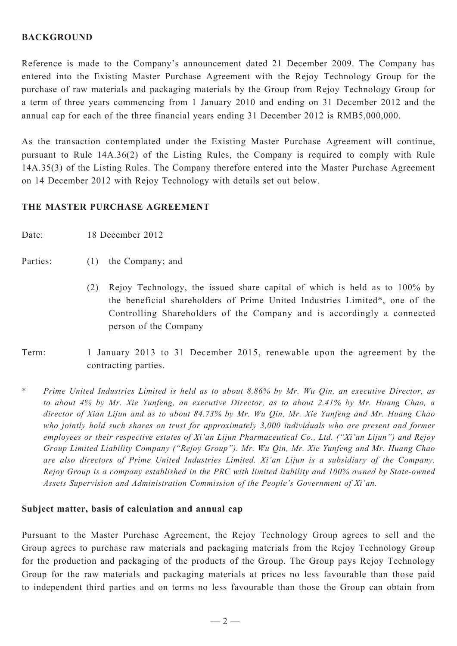#### **BACKGROUND**

Reference is made to the Company's announcement dated 21 December 2009. The Company has entered into the Existing Master Purchase Agreement with the Rejoy Technology Group for the purchase of raw materials and packaging materials by the Group from Rejoy Technology Group for a term of three years commencing from 1 January 2010 and ending on 31 December 2012 and the annual cap for each of the three financial years ending 31 December 2012 is RMB5,000,000.

As the transaction contemplated under the Existing Master Purchase Agreement will continue, pursuant to Rule 14A.36(2) of the Listing Rules, the Company is required to comply with Rule 14A.35(3) of the Listing Rules. The Company therefore entered into the Master Purchase Agreement on 14 December 2012 with Rejoy Technology with details set out below.

#### **THE Master PURCHASE AGREEMENT**

Date: 18 December 2012

### Parties: (1) the Company; and

- (2) Rejoy Technology, the issued share capital of which is held as to 100% by the beneficial shareholders of Prime United Industries Limited\*, one of the Controlling Shareholders of the Company and is accordingly a connected person of the Company
- Term: 1 January 2013 to 31 December 2015, renewable upon the agreement by the contracting parties.
- \* *Prime United Industries Limited is held as to about 8.86% by Mr. Wu Qin, an executive Director, as to about 4% by Mr. Xie Yunfeng, an executive Director, as to about 2.41% by Mr. Huang Chao, a director of Xian Lijun and as to about 84.73% by Mr. Wu Qin, Mr. Xie Yunfeng and Mr. Huang Chao who jointly hold such shares on trust for approximately 3,000 individuals who are present and former employees or their respective estates of Xi'an Lijun Pharmaceutical Co., Ltd. ("Xi'an Lijun") and Rejoy Group Limited Liability Company ("Rejoy Group"). Mr. Wu Qin, Mr. Xie Yunfeng and Mr. Huang Chao are also directors of Prime United Industries Limited. Xi'an Lijun is a subsidiary of the Company. Rejoy Group is a company established in the PRC with limited liability and 100% owned by State-owned Assets Supervision and Administration Commission of the People's Government of Xi'an.*

#### **Subject matter, basis of calculation and annual cap**

Pursuant to the Master Purchase Agreement, the Rejoy Technology Group agrees to sell and the Group agrees to purchase raw materials and packaging materials from the Rejoy Technology Group for the production and packaging of the products of the Group. The Group pays Rejoy Technology Group for the raw materials and packaging materials at prices no less favourable than those paid to independent third parties and on terms no less favourable than those the Group can obtain from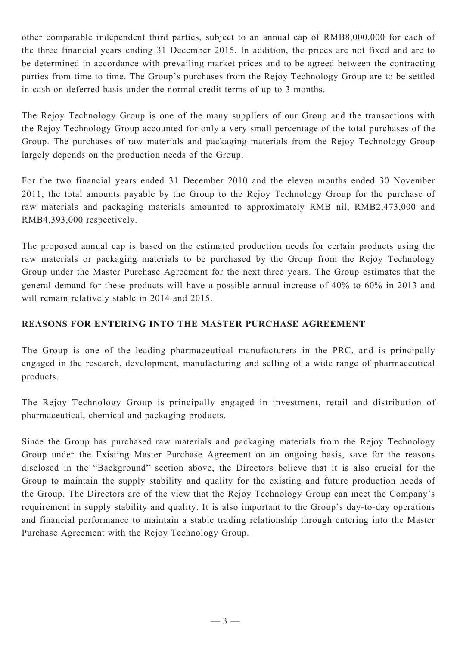other comparable independent third parties, subject to an annual cap of RMB8,000,000 for each of the three financial years ending 31 December 2015. In addition, the prices are not fixed and are to be determined in accordance with prevailing market prices and to be agreed between the contracting parties from time to time. The Group's purchases from the Rejoy Technology Group are to be settled in cash on deferred basis under the normal credit terms of up to 3 months.

The Rejoy Technology Group is one of the many suppliers of our Group and the transactions with the Rejoy Technology Group accounted for only a very small percentage of the total purchases of the Group. The purchases of raw materials and packaging materials from the Rejoy Technology Group largely depends on the production needs of the Group.

For the two financial years ended 31 December 2010 and the eleven months ended 30 November 2011, the total amounts payable by the Group to the Rejoy Technology Group for the purchase of raw materials and packaging materials amounted to approximately RMB nil, RMB2,473,000 and RMB4,393,000 respectively.

The proposed annual cap is based on the estimated production needs for certain products using the raw materials or packaging materials to be purchased by the Group from the Rejoy Technology Group under the Master Purchase Agreement for the next three years. The Group estimates that the general demand for these products will have a possible annual increase of 40% to 60% in 2013 and will remain relatively stable in 2014 and 2015.

## **REASONS FOR ENTERING INTO THE MASTER PURCHASE AGREEMENT**

The Group is one of the leading pharmaceutical manufacturers in the PRC, and is principally engaged in the research, development, manufacturing and selling of a wide range of pharmaceutical products.

The Rejoy Technology Group is principally engaged in investment, retail and distribution of pharmaceutical, chemical and packaging products.

Since the Group has purchased raw materials and packaging materials from the Rejoy Technology Group under the Existing Master Purchase Agreement on an ongoing basis, save for the reasons disclosed in the "Background" section above, the Directors believe that it is also crucial for the Group to maintain the supply stability and quality for the existing and future production needs of the Group. The Directors are of the view that the Rejoy Technology Group can meet the Company's requirement in supply stability and quality. It is also important to the Group's day-to-day operations and financial performance to maintain a stable trading relationship through entering into the Master Purchase Agreement with the Rejoy Technology Group.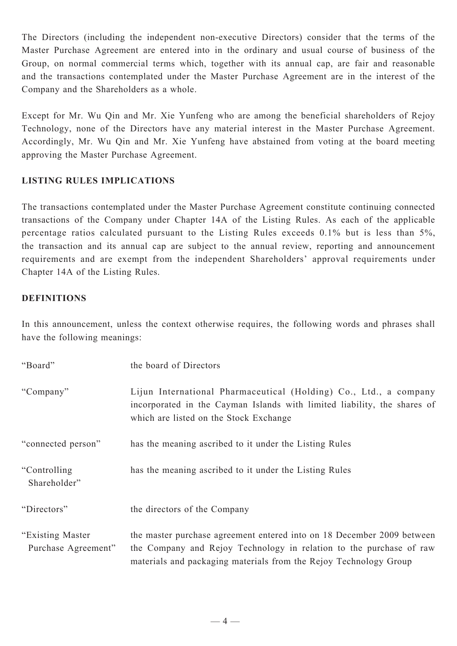The Directors (including the independent non-executive Directors) consider that the terms of the Master Purchase Agreement are entered into in the ordinary and usual course of business of the Group, on normal commercial terms which, together with its annual cap, are fair and reasonable and the transactions contemplated under the Master Purchase Agreement are in the interest of the Company and the Shareholders as a whole.

Except for Mr. Wu Qin and Mr. Xie Yunfeng who are among the beneficial shareholders of Rejoy Technology, none of the Directors have any material interest in the Master Purchase Agreement. Accordingly, Mr. Wu Qin and Mr. Xie Yunfeng have abstained from voting at the board meeting approving the Master Purchase Agreement.

## **LISTING RULES IMPLICATIONS**

The transactions contemplated under the Master Purchase Agreement constitute continuing connected transactions of the Company under Chapter 14A of the Listing Rules. As each of the applicable percentage ratios calculated pursuant to the Listing Rules exceeds 0.1% but is less than 5%, the transaction and its annual cap are subject to the annual review, reporting and announcement requirements and are exempt from the independent Shareholders' approval requirements under Chapter 14A of the Listing Rules.

#### **DEFINITIONS**

In this announcement, unless the context otherwise requires, the following words and phrases shall have the following meanings:

| "Board"                                  | the board of Directors                                                                                                                                                                                             |
|------------------------------------------|--------------------------------------------------------------------------------------------------------------------------------------------------------------------------------------------------------------------|
| "Company"                                | Lijun International Pharmaceutical (Holding) Co., Ltd., a company<br>incorporated in the Cayman Islands with limited liability, the shares of<br>which are listed on the Stock Exchange                            |
| "connected person"                       | has the meaning ascribed to it under the Listing Rules                                                                                                                                                             |
| "Controlling"<br>Shareholder"            | has the meaning ascribed to it under the Listing Rules                                                                                                                                                             |
| "Directors"                              | the directors of the Company                                                                                                                                                                                       |
| "Existing Master"<br>Purchase Agreement" | the master purchase agreement entered into on 18 December 2009 between<br>the Company and Rejoy Technology in relation to the purchase of raw<br>materials and packaging materials from the Rejoy Technology Group |